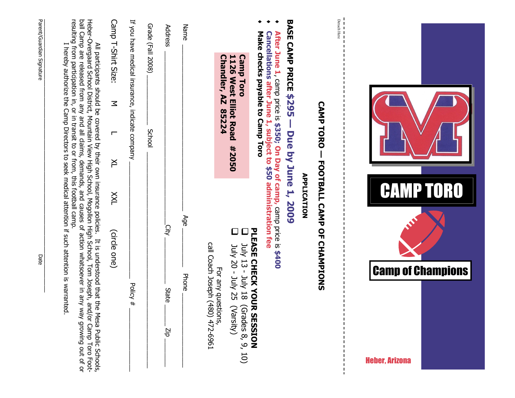| resulting from participation in, or in transit to or from, this football camp.<br>ball Camp are released from any and all claims, demands, and causes of action whatsoever in any<br>Heber-Overgaard School District, Mountain View High School, Mogollon High School, Tom Joseph, a | If you have medical insurance, indicate company<br>Camp T-Shirt Size:<br>$\leq$<br>┍<br>$\geq$ | Grade (Fall 2008)<br>Address<br><b>School</b> | Name         | Detach Here<br>BASE CAMP PRICE \$295<br>After June 1, camp price is \$350; On Day of camp, camp price is \$400<br>Make checks payable to Camp Toro<br>Cancellations after June 1, subject to \$50 administration fee<br>1126 West Elliot Road<br><b>Camp Toro</b><br>Chandler, AZ<br>85224<br>- Due by June 1, 2009<br><b>#2050</b> |                                                   |
|--------------------------------------------------------------------------------------------------------------------------------------------------------------------------------------------------------------------------------------------------------------------------------------|------------------------------------------------------------------------------------------------|-----------------------------------------------|--------------|-------------------------------------------------------------------------------------------------------------------------------------------------------------------------------------------------------------------------------------------------------------------------------------------------------------------------------------|---------------------------------------------------|
| I hereby authorize the Camp Directors to seek medical attention if such attention is warranted.<br>All participants should be covered by their own insurance policies. It is understood that the Mesa Public Schools,<br>way growing out of or<br>nd/or Camp Toro Foot-              | $\times$<br>(circle one)<br>Policy #                                                           | City<br><b>State</b><br>diz                   | Age<br>Phone | <b>CAMP TORO - FOOTBALL CAMP OF CHAMPIONS</b><br><b>APPLICATION</b><br>PLEASE<br>$\Box$<br>call Coach Joseph (480) 472-6961<br>31 Anc - 21 Anc<br><b>10ly 20 - July 25</b><br>CHECK YOU<br>For any questions<br><b>RESSION</b><br>(Varsity)<br>Grades 8, 9,<br>10)                                                                  | <b>Camp of Champions</b><br><b>Heber, Arizona</b> |

Parent/Guardian Signature Date

Date

Parent/Guardian Signature